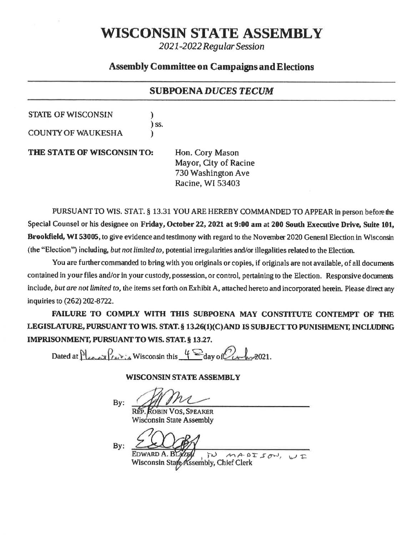# WISCONSIN STATE ASSEMBLY

2021-2022 Regular Session

## **Assembly Committee on Campaigns and Elections**

#### **SUBPOENA DUCES TECUM**

#### **STATE OF WISCONSIN**

**COUNTY OF WAUKESHA** 

THE STATE OF WISCONSIN TO:

Hon. Cory Mason Mayor, City of Racine 730 Washington Ave Racine, WI 53403

PURSUANT TO WIS. STAT. § 13.31 YOU ARE HEREBY COMMANDED TO APPEAR in person before the Special Counsel or his designee on Friday, October 22, 2021 at 9:00 am at 200 South Executive Drive, Suite 101, Brookfield, WI 53005, to give evidence and testimony with regard to the November 2020 General Election in Wisconsin (the "Election") including, but not limited to, potential irregularities and/or illegalities related to the Election.

You are further commanded to bring with you originals or copies, if originals are not available, of all documents contained in your files and/or in your custody, possession, or control, pertaining to the Election. Responsive documents include, but are not limited to, the items set forth on Exhibit A, attached hereto and incorporated herein. Please direct any inquiries to (262) 202-8722.

FAILURE TO COMPLY WITH THIS SUBPOENA MAY CONSTITUTE CONTEMPT OF THE LEGISLATURE, PURSUANT TO WIS. STAT. § 13.26(1)(C) AND IS SUBJECT TO PUNISHMENT, INCLUDING IMPRISONMENT, PURSUANT TO WIS. STAT. § 13.27.

Dated at Please Pentis Wisconsin this  $4 \sum_{day \text{ of }} 2021$ .

 $\overline{\phantom{a}}$  iss.

#### **WISCONSIN STATE ASSEMBLY**

 $\mathbf{B} \mathbf{v}$ :

REP. ROBIN VOS, SPEAKER

Wisconsin State Assembly

By:

EDWARD A. R MADISON, WI لة Wisconsin State Assembly, Chief Clerk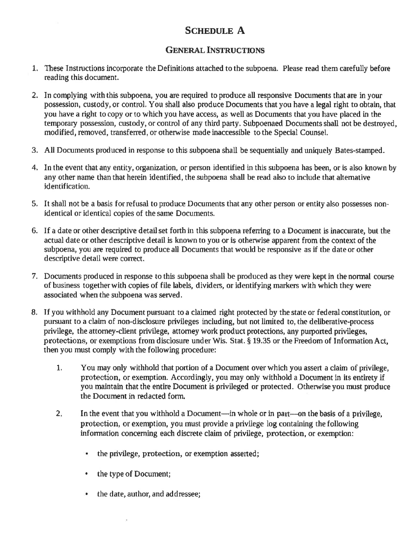## SCHEDULE A

#### GENERAL INSTRUCTIONS

- 1. these Instructions incorporate the Definitions attached to the subpoena. Please read them carefully before reading this document.
- 2, In complying with this subpoena, you are rcquired to produce all responsive Documents that are in your possession, custody, or control. You shall also produce Documents that you have a legal right to obtain, that you have a right to copy or to which you have access, as well as Documents that you have placed in the temporary possession, custody, or control of any third party. Subpoenaed Documents shall not be destroyed, modified, rernoved, transfened, or otherwise made inaccessible to the Special Counsel.
- 3. All Documents produced in response to this subpoena shall be sequentially and uniquely Bates-stamped.
- 4. In the event that any entity, organization, or person identified in this subpoena has been, or is also known by any other name than that herein identified, the subpoena shall be read also to include that altemative identificatiou.
- 5. It shall not be a basis for refusal to produce Documents that any other person or entity also possesses nonidentical or identical copies of the same Documents.
- 6. If a date or other descriptive detail set forth in this subpoena refening to a Document is inaccurate, but the actual date or other descriptive detail is known to you or is otherwise apparent finm rhe context of the subpoena, you are required to produce all Documents that would be responsive as if the date or other descriptive detail were correct.
- 7. Documents produced in response to this subpoena shall be produced as they were kept in the normal course of business togetherwith copies of file labels, dividers, or ldentifying markers with which they were associated when the subpoena was served.
- 8. If you withhold any Document pursuant to a claimed right protected by the state or federal constitution, or pursuant to a claim of non-disclosure privileges including, but not limited to, the deliberative-process privilege, the attorney-client privilege, attorney work product protections, any purported privileges, protections, or exemptions from disclosure under Wis. Stat. § 19.35 or the Freedom of Information Act, then you must comply with the following procedure:
	- You may only withhold that portion of a Document over which you assert a claim of privilege, protection, or exemption. Accondingly, you may only withhold a Document in its entirety if you maintain that the entire Document is privileged or protected. Otherwise you must produce the Document in redacted form. 1,
	- In the event that you withhold a Document—in whole or in part—on the basis of a privilege, protection, or exemption, you must provide a privilege log containing the following information concerning each discrete claim of privilege, protection, or exemption:  $2.1$ 
		- the privilege, protection, or exemption asserted;
		- the type of Document;  $\bullet$
		- $\bullet$ the date, author, and addressee;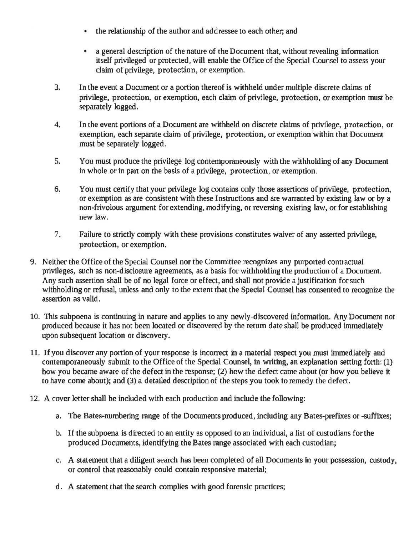- the relationship of the author and addressee to each other; and
- a general description of the nature of the Document that, without revealing information itself privileged or protected, will enable the Office of the Special Counsel to assess your claim of privilege, protection, or exemption.
- J. Inthe event a Document or a portion thereof is withheld under multiple discrete claims of privilege, protection, or exemption, each claim of privilege, protection, or exemption must be separately logged.
- In the event ponions of a Document are withheld on discrete claims of privilege, protection, or exemption, each separate claim of privilege, protection, or exemption within that Document must be separately logged. 4-
- You must produce the privilege log contemporaneously with the withholding of any Document in whole or in part on the basis of a privilege, protection, or exemption. 5.
- You must certify that your privilege log contains only those assertions of privilege, protection, 0r exemption as arc consistent with these Instmctions and arc wamanted by existing law or by a non-frivolous argument forextending, modifying, or reversing existing law, or for establishing new law, 6.
- Failure to strictly comply with these provisions constitutes waiver of any asserted privilege, protection, or exemption. 7
- 9. Neither the Office of the Special Counsel nor the Committee recognizes any purported contractual privileges, such as non-disclosure agreements, as a basis for withholding the production of a Document. Any such assertion shall be of no legal force or effect, and shall not provide a justification for such withholding or refusal, unless and only to the extent that the Special Counsel has consented to recognize the assertion as valid.
- 10. This subpoena is continuing in nature and applies to any newly-discovered information. Any Document not produced because it has not been located or discovered by the retum date shall be produced immediately upon subsequent location or discovery.
- 11. If you discover any portion of your response is inconrct in a material respect you must immediately and contemporaneously submit to the Office of the Special Counsel, in writing, an explanation setting forth: (1) how you became aware of the defect in the response; (2) how the defect came about (or how you believe it to have come about); and (3) a detailed description of the steps you took to remedy the defect.
- 12. A cover letter shall be included with each production and include the following:
	- a. The Bates-numbering range of the Documents produced, including any Bates-prefixes or -suffixes;
	- b, If the subpoena is directed to an entity as opposed to an individual, a list of custodians for rhe produced Documents, identifying the Bates range associated with each custodian;
	- c. A statement that a diligent search has been completed of all Documents in your possession, custody, or control that reasonably could contain responsive material;
	- d. A statement that the search complies with good forensic practices;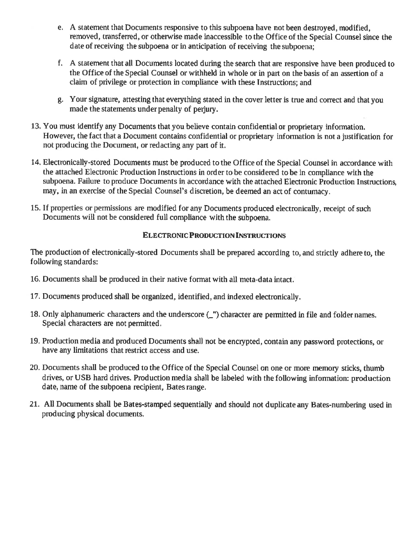- e. A statement that Documents responsive to this subpoena have not been destroyed, modified, removed, transferred, or otherwise made inaccessible to the Office of the Special Counsel since the date of receiving the subpoena or in anticipation of receiving the suhpoena;
- f, <sup>A</sup>statement that all Documents located during the search that are responslve have been produced to the Office of the Special Counsel or withheld in whole or in part on thebasis of an assertion of a clairn of privilege or prutection in compliance with these lnstructions; and
- g. Your signaturc, attesting that everything stated in the cover letter is true and correct and that you made the statements under penalty of perjury.
- 13. You must identify any Documents that you believe contain confidential or proprietary information. However, the fact that a Document contains confidential or proprietary information is not a justification for not producing the Document, or redacting any part of it.
- 14, Electronically-stored Documents must be produced to the Office of the Special Counsel in accordance with the attached Electronic Production Instructions in order to be considered to be in compliance with the subpoena. Failure to produce Documents in accordance with the attached Electronic Production Instructions, may, in an exercise of the Special Counsel's discretion, be deemed an act of contumacy.
- 15. If properties or permissions are modified for any Documents produced electronically, receipt of such Documents will not be considered full compliance with the subpoena.

#### **ELECTRONIC PRODUCTION INSTRUCTIONS**

The production of electronically-stored Documents shall be prepared according to, and strictly adhere to, the following standands:

- 16. Documents shall be produced in their native format with all meta-data intact.
- 17. Documents produced shall be organized, identified, and indexed electronically.
- 18. Only alphanumeric characters and the underscore (\_") character are permitted in file and folder names. Special characters are not permitted.
- 19. Production media and produced Documents shall not be encrypted, contain any password protections, or have any limitations that restrict access and use.
- 20. Documents shall be produced to the Office of the Special Counsel on one or more memory sticks, thumb drives, or USB hard drives. Production media shall he labeled with the following information: production date, name of the subpoena recipient, Bates range.
- 21. All Documents shall be Bates-stamped sequentialiy and should not duplicate any Bates-numbering used in producing physical documents.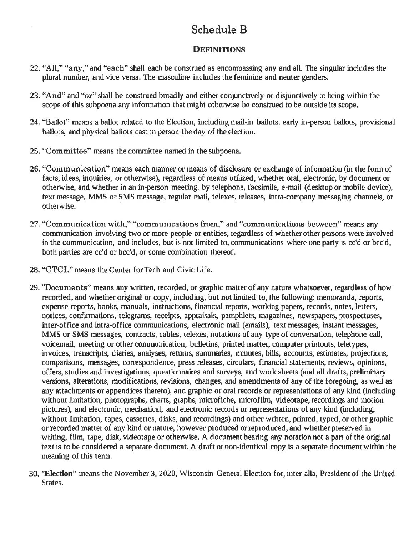# Schedule B

## **DEFINITIONS**

- 22. "All." "any," and "each" shall each be construed as encompassing any and all. The singular includes the plural number, and vice versa. The masculine includes the feminine and neuter genders,
- 23. "And" and "or" shall be construed broadly and either conjunctively or disjunctively to bring within the scope of this subpoena any information that might otherwise be construed to be outside its scope.
- 24. "Ballot" means a ballot related to the Election, including mail-in ballots, early in-person ballots, provisional ballots, and physical ballots cast in person the day of the election.
- 25. "Committee" means the committee named in the subpoena.
- 26. "Communication" means each manner or means of disclosure or exchange of information (in the form of facts, ideas, inquiries, or otherwise), regardless of means utilized, whether oral, electronic, by document or otherwise, and whether in an in-person meeting, by telephone, facsimile, e-mail (desktop or mobile device), text message, MMS or SMS message, regular mail, telexes, releases, intra-company messaging channels, or otherwise.
- 27. "Communication with," "communications from," and "communications between" means any communication involving two or more people or entities, regardless of whether other persons were involved in the communication, and includes, but is not limited to, communications where one party is cc'd or bcc'd, both parties are cc'd or bcc'd, or some combination thereof.
- 28. "CTCL" means the Center for Tech and Civic Life.
- 29. "Documents" means any written, recorded, or graphic matter of any nature whatsoever, regardless of how recorded, and whether original or copy, including, but not limited to, the following: memoranda, reports, expense reports, books, manuals, instructions, financial reports, working papers, records, notes, letters, notices, confirmations, telegrams, receipts, appraisals, pamphlets, magazines, newspapers, prospectuses, inter-office and intra-office communications, electronic mail (emails), text messages, instant messages, MMS or SMS messages, contracts, cables, telexes, notations of any type of conversation, telephone call, voicemail, meeting or other communication, bulletins, printed matter, computer printouts, teletypes, invoices, transcripts, diaries, analyses, returns, summaries, minutes, bills, accounts, estimates, projections, comparisons, messages, correspondence, press releases, circulars, financial statements, reviews, opinions, offers, studies and investigations, questionnaires and surveys, and work sheets (and all drafts, preliminary versions, alterations, modifications, revisions, changes, and amendments of any of the foregoing, as well as any attachments or appendices thereto), and graphic or oral records or representations of any kind (including without limitation, photographs, charts, graphs, microfiche, microfilm, videotape, recordings and motion pictures), and electronic, mechanical, and electronic records or representations of any kind (including, without limitation, tapes, cassettes, disks, and recordings) and other written, printed, typed, or other graphic or recorded matter of any kind or nature, however produced or reproduced, and whether preserved in writing, film, tape, disk, videotape or otherwise. A document bearing any notation not a part of the original text is to be considered a separate document. A draft or non-identical copy is a separate document within the meaning of this term.
- 30. "Election" means the November 3, 2020, Wisconsin General Election for, inter alia, President of the United States.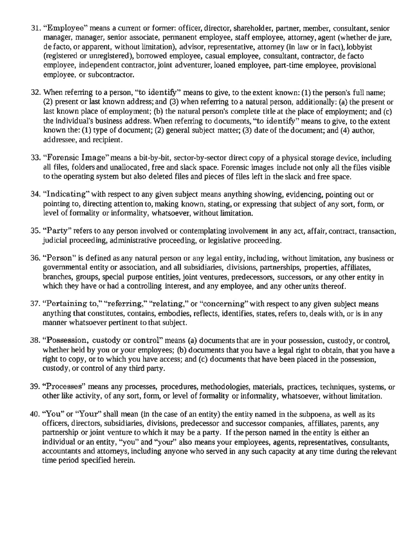- 31. "Employee" means a current or former: officer, director, shareholder, partner, member, consultant, senior manager, tnanager, senior associate, pennanent employee, staff employee, attorney, agent (whether de jure, de facto, or apparent, without limitation), advisor, representative, attorney (in law or in fact), lobbyist (registered or unregistered), bomowed employee, casual employee, consultant, contractor, de facto employee, independent contractor, joint adveuturer, loaned employee, part-time employee, provisional employee, or subcontractor.
- 32. When referring to a person, "to identify" means to give, to the extent known: (1) the person's full name; (2) prcsent or last known address; and (3) when refering to a natural person, additionally: (a) the present or last known place of employment; (b) the natural person's complete title at the place of employment; and  $(c)$ the individual's business address. When referring to docurnents, "to identify" means to give, to the extent known the:  $(1)$  type of document;  $(2)$  general subject matter;  $(3)$  date of the document; and  $(4)$  author, ad dressee, and recipient.
- 33. "Forensic Image" means a bit-by-bit, sector-by-sector direct copy of a physical storage device, including all files, folders and unallocated, free and slack space. Forensic images include not only all the files visible to the operating system but also deleted files and pieces of files left in the slack and free spac€.
- 34. "Indicating" with respect to any given subject means anything showing, evidencing, pointing out or pointing to, directing attention to, making known, stating, or expressing that subject of any sort, form, or Ievel of formality or informality, whatsoever, without limitation.
- 35. "Party" refers to any person involved or contemplating involvement in any act, affair, contract, transaction, judicial proceeding, administrative proceeding, or legislative proceeding.
- 36. '\*Person" is defined as any natural person or any legal entity, including, without limitation, any business or governmental entity or association, and all subsidiaries, divisions, partnerships, properties, affiliates, branches, groups, special purpose entities, joint ventures, predecessors, successors, or any other entity in which they have or had a controlling interest, and any employee, and any other units thereof.
- 37. "Pertaining to," "referring," "relating," or "concerning" with respect to any given subject means anything that constitutes, coutains, embodies, reflects, identifies, states, refers to, deals with, or is in any manner whatsoever pertinent to that subject.
- 38. "Possession, custody or control" means (a) documents that are in your possession, cusfody, or contml, whether held by you or your employees; (b) documents that you have a legal right to obtain, that you have <sup>a</sup> right to copy, or to which you have access; and  $(c)$  documents that have been placed in the possession, custody, or control of any third party.
- 39. "Processes" means any processes, procedures, methodologies, materials, practices, techniques, systems, or other like activity, of any sort, form, or level of formality or informality, whatsoever, without limitation.
- 40. "You" or "Your" shall mean (in the case of an entity) the entity named in the subpoena, as well as its officers, directon, subsidiaries, divisions, predecessor and successor companies, affiliates, parcnts, any partnership or joint venture to which it may be a party. If the person named in the entity is either an individual or an entity, "you" and "your" also means your employees, agents, representatives, consultants, accountants and attorneys, including anyone who served in any such capacity at any time during the relevant time period specified herein.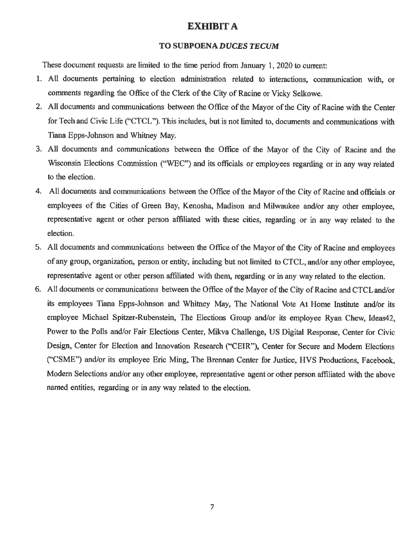## **EXHIBIT A**

#### TO SUBPOENA DUCES TECUM

These document requests are limited to the time period from January 1, 2020 to current:

- 1. All documents pertaining to election administration related to interactions, communication with, or comments regarding the Office of the Clerk of the City of Racine or Vicky Selkowe.
- 2. All documents and communications between the Office of the Mayor of the City of Racine with the Center for Tech and Civic Life ("CTCL"). This includes, but is not limited to, documents and communications with Tiana Epps-Johnson and Whitney May.
- 3. All documents and communications between the Office of the Mayor of the City of Racine and the Wisconsin Elections Commission ("WEC") and its officials or employees regarding or in any way related to the election.
- 4. All documents and communications between the Office of the Mayor of the City of Racine and officials or employees of the Cities of Green Bay, Kenosha, Madison and Milwaukee and/or any other employee. representative agent or other person affiliated with these cities, regarding or in any way related to the election.
- 5. All documents and communications between the Office of the Mayor of the City of Racine and employees of any group, organization, person or entity, including but not limited to CTCL, and/or any other employee, representative agent or other person affiliated with them, regarding or in any way related to the election.
- 6. All documents or communications between the Office of the Mayor of the City of Racine and CTCL and/or its employees Tiana Epps-Johnson and Whitney May, The National Vote At Home Institute and/or its employee Michael Spitzer-Rubenstein, The Elections Group and/or its employee Ryan Chew, Ideas42, Power to the Polls and/or Fair Elections Center, Mikva Challenge, US Digital Response, Center for Civic Design, Center for Election and Innovation Research ("CEIR"), Center for Secure and Modern Elections ("CSME") and/or its employee Eric Ming, The Brennan Center for Justice, HVS Productions, Facebook, Modern Selections and/or any other employee, representative agent or other person affiliated with the above named entities, regarding or in any way related to the election.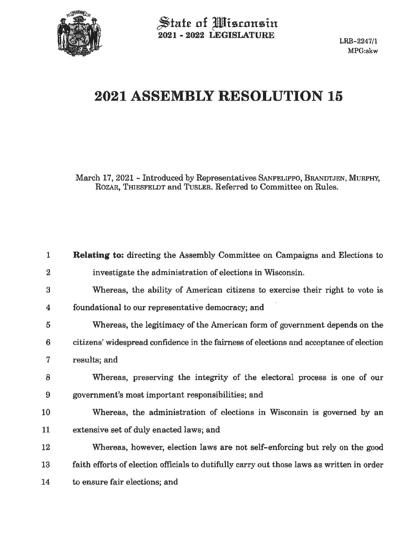

State of Misconsin<br>2021 - 2022 LEGISLATURE

# 2021 ASSEMBLY RESOLUTION 15

March 17, 2021 - Introduced by Representatives SANFELIPPO, BRANDTJEN, MURPHY, ROZAR, THIESFELDT and TUSLER. Referred to Committee on Rules.

| $\mathbf{1}$    | <b>Relating to:</b> directing the Assembly Committee on Campaigns and Elections to        |
|-----------------|-------------------------------------------------------------------------------------------|
| 2               | investigate the administration of elections in Wisconsin.                                 |
| 3               | Whereas, the ability of American citizens to exercise their right to vote is              |
| 4               | foundational to our representative democracy; and                                         |
| 5               | Whereas, the legitimacy of the American form of government depends on the                 |
| $6\phantom{1}6$ | citizens' widespread confidence in the fairness of elections and acceptance of election   |
| 7               | results; and                                                                              |
| 8               | Whereas, preserving the integrity of the electoral process is one of our                  |
| 9               | government's most important responsibilities; and                                         |
| 10              | Whereas, the administration of elections in Wisconsin is governed by an                   |
| 11              | extensive set of duly enacted laws; and                                                   |
| 12              | Whereas, however, election laws are not self-enforcing but rely on the good               |
| 13              | faith efforts of election officials to dutifully carry out those laws as written in order |
| 14              | to ensure fair elections; and                                                             |